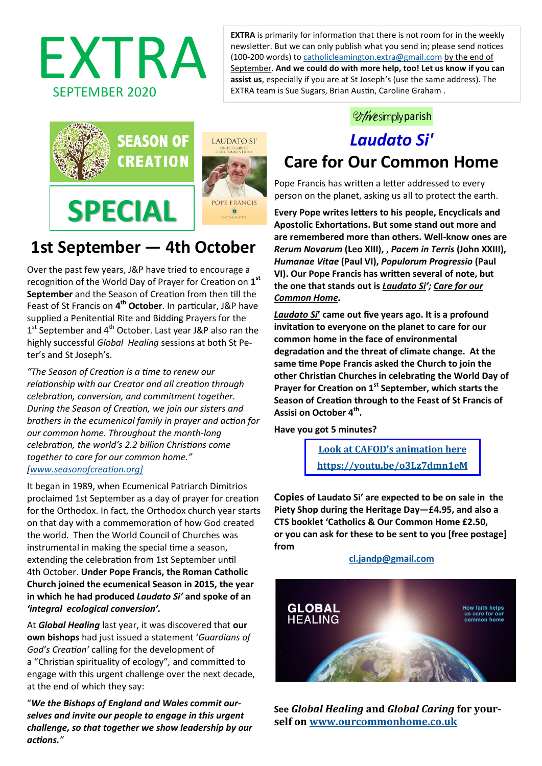EXTRA is primarily for information that there is not room for in the weekly<br>newsletter. But we can only publish what you send in; please send notices<br>(100-200 words) to <u>catholicleamington.extra@gmail.com</u> by the end of<br>se newsletter. But we can only publish what you send in; please send notices (100-200 words) to [catholicleamington.extra@gmail.com](mailto:catholicleamington.extra@gmail.com) by the end of September. **And we could do with more help, too! Let us know if you can assist us**, especially if you are at St Joseph's (use the same address). The EXTRA team is Sue Sugars, Brian Austin, Caroline Graham .



# **1st September — 4th October**

Over the past few years, J&P have tried to encourage a recognition of the World Day of Prayer for Creation on **1 st September** and the Season of Creation from then till the Feast of St Francis on **4 th October**. In particular, J&P have supplied a Penitential Rite and Bidding Prayers for the 1<sup>st</sup> September and 4<sup>th</sup> October. Last year J&P also ran the highly successful *Global Healing* sessions at both St Peter's and St Joseph's.

*"The Season of Creation is a time to renew our relationship with our Creator and all creation through celebration, conversion, and commitment together. During the Season of Creation, we join our sisters and brothers in the ecumenical family in prayer and action for our common home. Throughout the month-long celebration, the world's 2.2 billion Christians come together to care for our common home." [\[www.seasonofcreation.org\]](http://www.seasonofcreation.org])*

It began in 1989, when Ecumenical Patriarch Dimitrios proclaimed 1st September as a day of prayer for creation for the Orthodox. In fact, the Orthodox church year starts on that day with a commemoration of how God created the world. Then the World Council of Churches was instrumental in making the special time a season, extending the celebration from 1st September until 4th October. **Under Pope Francis, the Roman Catholic Church joined the ecumenical Season in 2015, the year in which he had produced** *Laudato Si'* **and spoke of an** *'integral ecological conversion'.* 

At *Global Healing* last year, it was discovered that **our own bishops** had just issued a statement '*Guardians of God's Creation'* calling for the development of a "Christian spirituality of ecology"*,* and committed to engage with this urgent challenge over the next decade, at the end of which they say:

"*We the Bishops of England and Wales commit ourselves and invite our people to engage in this urgent challenge, so that together we show leadership by our actions."*

## *Mivesimply parish*

## *Laudato Si'*  **Care for Our Common Home**

Pope Francis has written a letter addressed to every person on the planet, asking us all to protect the earth.

**Every Pope writes letters to his people, Encyclicals and Apostolic Exhortations. But some stand out more and are remembered more than others. Well-know ones are**  *Rerum Novarum* **(Leo XIII), ,** *Pacem in Terris* **(John XXIII),**  *Humanae Vitae* **(Paul VI),** *Populorum Progressio* **(Paul VI). Our Pope Francis has written several of note, but the one that stands out is** *Laudato Si'; Care for our Common Home.*

*Laudato Si***' came out five years ago. It is a profound invitation to everyone on the planet to care for our common home in the face of environmental degradation and the threat of climate change. At the same time Pope Francis asked the Church to join the other Christian Churches in celebrating the World Day of Prayer for Creation on 1st September, which starts the Season of Creation through to the Feast of St Francis of Assisi on October 4th .**

**Have you got 5 minutes?**

**Look at CAFOD'[s animation here](https://youtu.be/o3Lz7dmn1eM) <https://youtu.be/o3Lz7dmn1eM>**

**Copies of Laudato Si' are expected to be on sale in the Piety Shop during the Heritage Day—£4.95, and also a CTS booklet 'Catholics & Our Common Home £2.50, or you can ask for these to be sent to you [free postage] from** 

**[cl.jandp@gmail.com](mailto:cl.jandp@gmail.com?subject=Laudato%20Si)**



**See** *Global Healing* **and** *Global Caring* **for yourself on [www.ourcommonhome.co.uk](http://www.ourcommonhome.co.uk)**